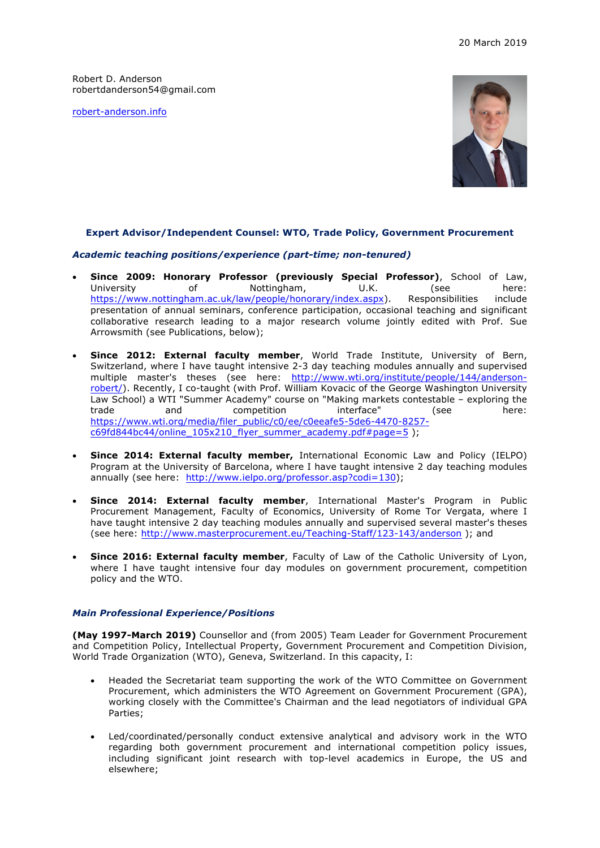Robert D. Anderson robertdanderson54@gmail.com

robert-anderson.info



## **Expert Advisor/Independent Counsel: WTO, Trade Policy, Government Procurement**

### *Academic teaching positions/experience (part-time; non-tenured)*

- **Since 2009: Honorary Professor (previously Special Professor)**, School of Law, University of Nottingham, U.K. (see here: https://www.nottingham.ac.uk/law/people/honorary/index.aspx). Responsibilities include presentation of annual seminars, conference participation, occasional teaching and significant collaborative research leading to a major research volume jointly edited with Prof. Sue Arrowsmith (see Publications, below);
- **Since 2012: External faculty member**, World Trade Institute, University of Bern, Switzerland, where I have taught intensive 2-3 day teaching modules annually and supervised multiple master's theses (see here: http://www.wti.org/institute/people/144/andersonrobert/). Recently, I co-taught (with Prof. William Kovacic of the George Washington University Law School) a WTI "Summer Academy" course on "Making markets contestable – exploring the trade and competition interface" (see here: https://www.wti.org/media/filer\_public/c0/ee/c0eeafe5-5de6-4470-8257 c69fd844bc44/online\_105x210\_flyer\_summer\_academy.pdf#page=5 );
- **Since 2014: External faculty member,** International Economic Law and Policy (IELPO) Program at the University of Barcelona, where I have taught intensive 2 day teaching modules annually (see here: http://www.ielpo.org/professor.asp?codi=130);
- **Since 2014: External faculty member**, International Master's Program in Public Procurement Management, Faculty of Economics, University of Rome Tor Vergata, where I have taught intensive 2 day teaching modules annually and supervised several master's theses (see here: http://www.masterprocurement.eu/Teaching-Staff/123-143/anderson ); and
- **Since 2016: External faculty member**, Faculty of Law of the Catholic University of Lyon, where I have taught intensive four day modules on government procurement, competition policy and the WTO.

### *Main Professional Experience/Positions*

**(May 1997-March 2019)** Counsellor and (from 2005) Team Leader for Government Procurement and Competition Policy, Intellectual Property, Government Procurement and Competition Division, World Trade Organization (WTO), Geneva, Switzerland. In this capacity, I:

- Headed the Secretariat team supporting the work of the WTO Committee on Government Procurement, which administers the WTO Agreement on Government Procurement (GPA), working closely with the Committee's Chairman and the lead negotiators of individual GPA Parties;
- Led/coordinated/personally conduct extensive analytical and advisory work in the WTO regarding both government procurement and international competition policy issues, including significant joint research with top-level academics in Europe, the US and elsewhere;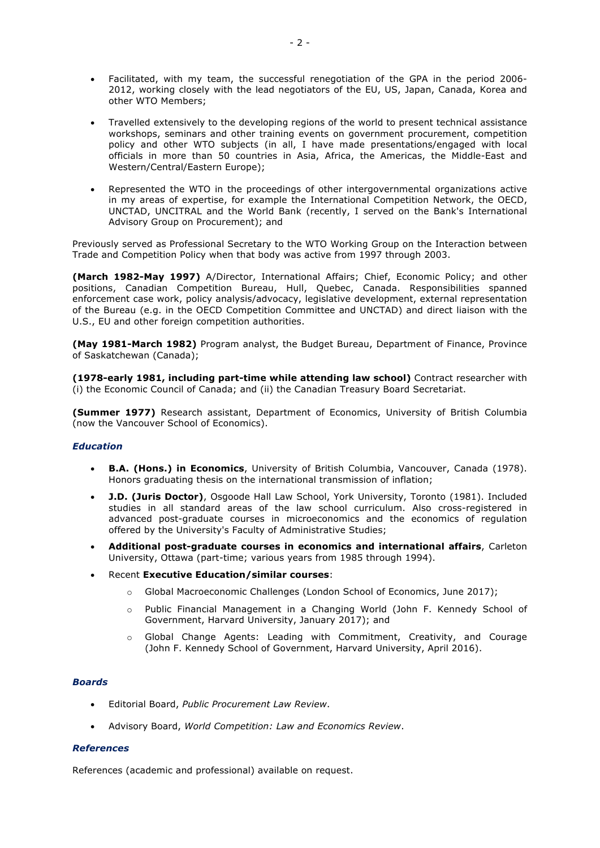- Facilitated, with my team, the successful renegotiation of the GPA in the period 2006- 2012, working closely with the lead negotiators of the EU, US, Japan, Canada, Korea and other WTO Members;
- Travelled extensively to the developing regions of the world to present technical assistance workshops, seminars and other training events on government procurement, competition policy and other WTO subjects (in all, I have made presentations/engaged with local officials in more than 50 countries in Asia, Africa, the Americas, the Middle-East and Western/Central/Eastern Europe);
- Represented the WTO in the proceedings of other intergovernmental organizations active in my areas of expertise, for example the International Competition Network, the OECD, UNCTAD, UNCITRAL and the World Bank (recently, I served on the Bank's International Advisory Group on Procurement); and

Previously served as Professional Secretary to the WTO Working Group on the Interaction between Trade and Competition Policy when that body was active from 1997 through 2003.

**(March 1982-May 1997)** A/Director, International Affairs; Chief, Economic Policy; and other positions, Canadian Competition Bureau, Hull, Quebec, Canada. Responsibilities spanned enforcement case work, policy analysis/advocacy, legislative development, external representation of the Bureau (e.g. in the OECD Competition Committee and UNCTAD) and direct liaison with the U.S., EU and other foreign competition authorities.

**(May 1981-March 1982)** Program analyst, the Budget Bureau, Department of Finance, Province of Saskatchewan (Canada);

**(1978-early 1981, including part-time while attending law school)** Contract researcher with (i) the Economic Council of Canada; and (ii) the Canadian Treasury Board Secretariat.

**(Summer 1977)** Research assistant, Department of Economics, University of British Columbia (now the Vancouver School of Economics).

## *Education*

- **B.A. (Hons.) in Economics**, University of British Columbia, Vancouver, Canada (1978). Honors graduating thesis on the international transmission of inflation;
- **J.D. (Juris Doctor)**, Osgoode Hall Law School, York University, Toronto (1981). Included studies in all standard areas of the law school curriculum. Also cross-registered in advanced post-graduate courses in microeconomics and the economics of regulation offered by the University's Faculty of Administrative Studies;
- **Additional post-graduate courses in economics and international affairs**, Carleton University, Ottawa (part-time; various years from 1985 through 1994).
- Recent **Executive Education/similar courses**:
	- o Global Macroeconomic Challenges (London School of Economics, June 2017);
	- o Public Financial Management in a Changing World (John F. Kennedy School of Government, Harvard University, January 2017); and
	- o Global Change Agents: Leading with Commitment, Creativity, and Courage (John F. Kennedy School of Government, Harvard University, April 2016).

## *Boards*

- Editorial Board, *Public Procurement Law Review*.
- Advisory Board, *World Competition: Law and Economics Review*.

### *References*

References (academic and professional) available on request.